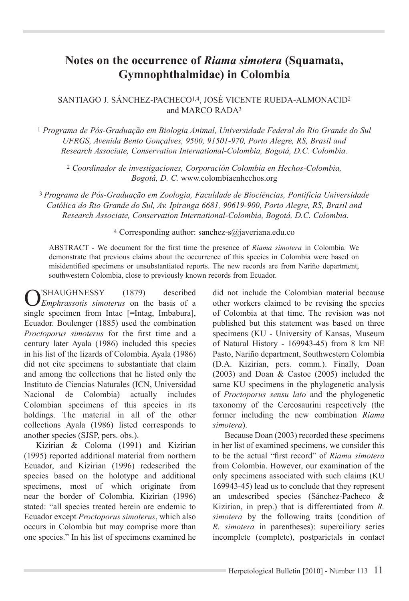# **Notes on the occurrence of** *Riama simotera* **(Squamata, Gymnophthalmidae) in Colombia**

#### SANTIAGO J. SÁNCHEZ-PACHECO1,4, JOSÉ VICENTE RUEDA-ALMONACID2 and MARCO RADA3

<sup>1</sup> *Programa de Pós-Graduação em Biologia Animal, Universidade Federal do Rio Grande do Sul UFRGS, Avenida Bento Gonçalves, 9500, 91501-970, Porto Alegre, RS, Brasil and Research Associate, Conservation International-Colombia, Bogotá, D.C. Colombia.* 

<sup>2</sup> *Coordinador de investigaciones, Corporación Colombia en Hechos-Colombia, Bogotá, D. C.* www.colombiaenhechos.org

<sup>3</sup>*Programa de Pós-Graduação em Zoologia, Faculdade de Biociências, Pontifícia Universidade Católica do Rio Grande do Sul, Av. Ipiranga 6681, 90619-900, Porto Alegre, RS, Brasil and Research Associate, Conservation International-Colombia, Bogotá, D.C. Colombia.*

#### 4 Corresponding author: sanchez-s@javeriana.edu.co

ABSTRACT - We document for the first time the presence of Riama simotera in Colombia. We demonstrate that previous claims about the occurrence of this species in Colombia were based on misidentified specimens or unsubstantiated reports. The new records are from Nariño department, southwestern Colombia, close to previously known records from Ecuador.

O'SHAUGHNESSY (1879) described<br> *Emphrassotis simoterus* on the basis of a single specimen from Intac [=Intag, Imbabura], Ecuador. Boulenger (1885) used the combination *Proctoporus simoterus* for the first time and a century later Ayala (1986) included this species in his list of the lizards of Colombia. Ayala (1986) did not cite specimens to substantiate that claim and among the collections that he listed only the Instituto de Ciencias Naturales (ICN, Universidad Nacional de Colombia) actually includes Colombian specimens of this species in its holdings. The material in all of the other collections Ayala (1986) listed corresponds to another species (SJSP, pers. obs.).

Kizirian & Coloma (1991) and Kizirian (1995) reported additional material from northern Ecuador, and Kizirian (1996) redescribed the species based on the holotype and additional specimens, most of which originate from near the border of Colombia. Kizirian (1996). stated: "all species treated herein are endemic to Ecuador except *Proctoporus simoterus*, which also occurs in Colombia but may comprise more than one species." In his list of specimens examined he

did not include the Colombian material because other workers claimed to be revising the species of Colombia at that time. The revision was not published but this statement was based on three specimens (KU - University of Kansas, Museum of Natural History - 169943-45) from 8 km NE Pasto, Nariño department, Southwestern Colombia (D.A. Kizirian, pers. comm.). Finally, Doan (2003) and Doan & Castoe (2005) included the same KU specimens in the phylogenetic analysis of *Proctoporus sensu lato* and the phylogenetic taxonomy of the Cercosaurini respectively (the former including the new combination Riama *simotera*).

Because Doan (2003) recorded these specimens in her list of examined specimens, we consider this to be the actual "first record" of *Riama simotera* from Colombia. However, our examination of the only specimens associated with such claims (KU 169943-45) lead us to conclude that they represent an undescribed species (Sánchez-Pacheco & Kizirian, in prep.) that is differentiated from *R*. *simotera* by the following traits (condition of *R. simotera* in parentheses): superciliary series incomplete (complete), postparietals in contact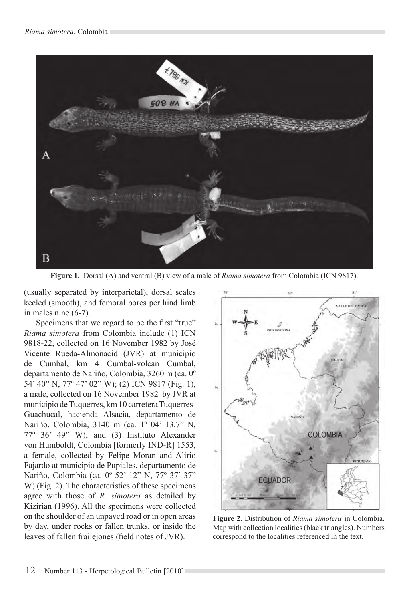

**Figure 1.** Dorsal (A) and ventral (B) view of a male of *Riama simotera* from Colombia (ICN 9817).

(usually separated by interparietal), dorsal scales keeled (smooth), and femoral pores per hind limb in males nine (6-7).

Specimens that we regard to be the first "true" *Riama simotera* from Colombia include (1) ICN 9818-22, collected on 16 November 1982 by José Vicente Rueda-Almonacid (JVR) at municipio de Cumbal, km 4 Cumbal-volcan Cumbal, departamento de Nariño, Colombia, 3260 m (ca. 0° 54' 40" N, 77° 47' 02" W); (2) ICN 9817 (Fig. 1), a male, collected on 16 November 1982 by JVR at municipio de Tuquerres, km 10 carretera Tuquerres-Guachucal, hacienda Alsacia, departamento de Nariño, Colombia, 3140 m (ca. 1º 04' 13.7" N,  $77^{\circ}$  36' 49" W); and (3) Instituto Alexander von Humboldt, Colombia [formerly IND-R] 1553, a female, collected by Felipe Moran and Alirio Fajardo at municipio de Pupiales, departamento de Nariño, Colombia (ca. 0º 52' 12" N, 77º 37' 37" W) (Fig. 2). The characteristics of these specimens agree with those of R. simotera as detailed by Kizirian (1996). All the specimens were collected on the shoulder of an unpaved road or in open areas by day, under rocks or fallen trunks, or inside the leaves of fallen frailejones (field notes of JVR).



Figure 2. Distribution of Riama simotera in Colombia. Map with collection localities (black triangles). Numbers correspond to the localities referenced in the text.